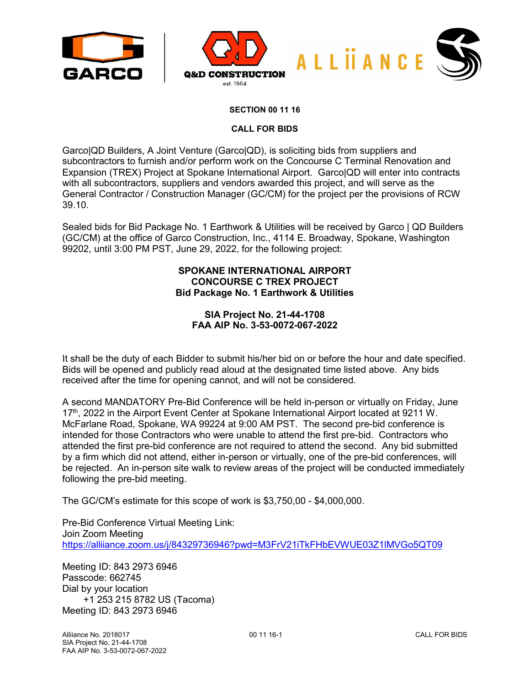



## **SECTION 00 11 16**

## **CALL FOR BIDS**

Garco|QD Builders, A Joint Venture (Garco|QD), is soliciting bids from suppliers and subcontractors to furnish and/or perform work on the Concourse C Terminal Renovation and Expansion (TREX) Project at Spokane International Airport. Garco|QD will enter into contracts with all subcontractors, suppliers and vendors awarded this project, and will serve as the General Contractor / Construction Manager (GC/CM) for the project per the provisions of RCW 39.10.

Sealed bids for Bid Package No. 1 Earthwork & Utilities will be received by Garco | QD Builders (GC/CM) at the office of Garco Construction, Inc., 4114 E. Broadway, Spokane, Washington 99202, until 3:00 PM PST, June 29, 2022, for the following project:

## **SPOKANE INTERNATIONAL AIRPORT CONCOURSE C TREX PROJECT Bid Package No. 1 Earthwork & Utilities**

## **SIA Project No. 21-44-1708 FAA AIP No. 3-53-0072-067-2022**

It shall be the duty of each Bidder to submit his/her bid on or before the hour and date specified. Bids will be opened and publicly read aloud at the designated time listed above. Any bids received after the time for opening cannot, and will not be considered.

A second MANDATORY Pre-Bid Conference will be held in-person or virtually on Friday, June 17th, 2022 in the Airport Event Center at Spokane International Airport located at 9211 W. McFarlane Road, Spokane, WA 99224 at 9:00 AM PST. The second pre-bid conference is intended for those Contractors who were unable to attend the first pre-bid. Contractors who attended the first pre-bid conference are not required to attend the second. Any bid submitted by a firm which did not attend, either in-person or virtually, one of the pre-bid conferences, will be rejected. An in-person site walk to review areas of the project will be conducted immediately following the pre-bid meeting.

The GC/CM's estimate for this scope of work is \$3,750,00 - \$4,000,000.

Pre-Bid Conference Virtual Meeting Link: Join Zoom Meeting <https://alliiance.zoom.us/j/84329736946?pwd=M3FrV21iTkFHbEVWUE03Z1lMVGo5QT09>

Meeting ID: 843 2973 6946 Passcode: 662745 Dial by your location +1 253 215 8782 US (Tacoma) Meeting ID: 843 2973 6946